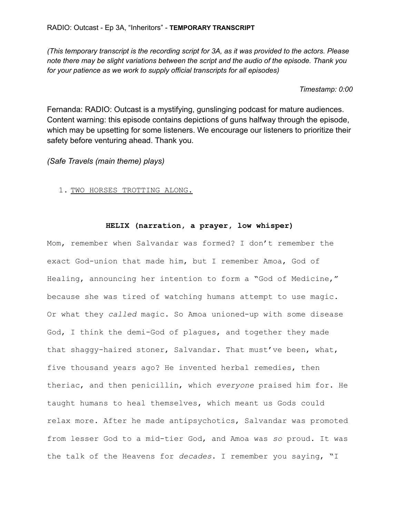*(This temporary transcript is the recording script for 3A, as it was provided to the actors. Please note there may be slight variations between the script and the audio of the episode. Thank you for your patience as we work to supply official transcripts for all episodes)*

#### *Timestamp: 0:00*

Fernanda: RADIO: Outcast is a mystifying, gunslinging podcast for mature audiences. Content warning: this episode contains depictions of guns halfway through the episode, which may be upsetting for some listeners. We encourage our listeners to prioritize their safety before venturing ahead. Thank you.

*(Safe Travels (main theme) plays)*

1. TWO HORSES TROTTING ALONG.

# **HELIX (narration, a prayer, low whisper)**

Mom, remember when Salvandar was formed? I don't remember the exact God-union that made him, but I remember Amoa, God of Healing, announcing her intention to form a "God of Medicine," because she was tired of watching humans attempt to use magic. Or what they *called* magic. So Amoa unioned-up with some disease God, I think the demi-God of plagues, and together they made that shaggy-haired stoner, Salvandar. That must've been, what, five thousand years ago? He invented herbal remedies, then theriac, and then penicillin, which *everyone* praised him for. He taught humans to heal themselves, which meant us Gods could relax more. After he made antipsychotics, Salvandar was promoted from lesser God to a mid-tier God, and Amoa was *so* proud. It was the talk of the Heavens for *decades*. I remember you saying, "I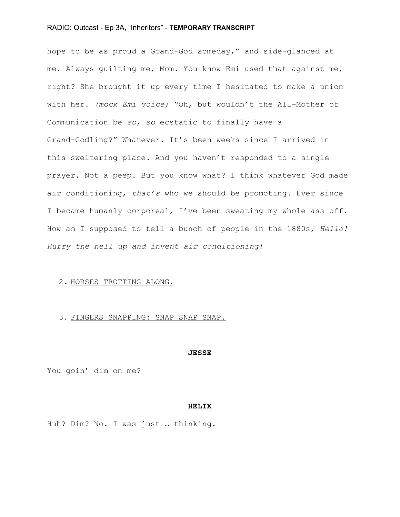hope to be as proud a Grand-God someday," and side-glanced at me. Always guilting me, Mom. You know Emi used that against me, right? She brought it up every time I hesitated to make a union with her. *(mock Emi voice)* "Oh, but wouldn't the All-Mother of Communication be *so*, *so* ecstatic to finally have a Grand-Godling?" Whatever. It's been weeks since I arrived in this sweltering place. And you haven't responded to a single prayer. Not a peep. But you know what? I think whatever God made air conditioning, *that's* who we should be promoting. Ever since I became humanly corporeal, I've been sweating my whole ass off. How am I supposed to tell a bunch of people in the 1880s, *Hello! Hurry the hell up and invent air conditioning!*

# 2. HORSES TROTTING ALONG.

#### 3. FINGERS SNAPPING: SNAP SNAP SNAP.

#### **JESSE**

You goin' dim on me?

#### **HELIX**

Huh? Dim? No. I was just … thinking.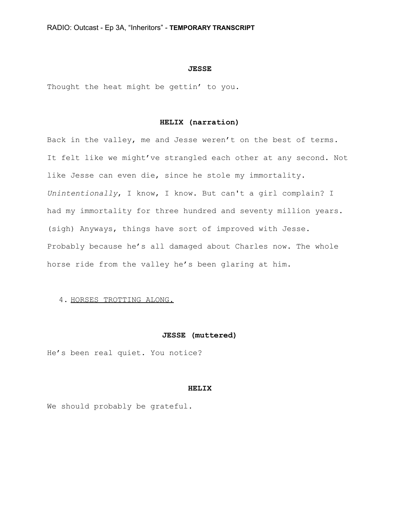#### **JESSE**

Thought the heat might be gettin' to you.

# **HELIX (narration)**

Back in the valley, me and Jesse weren't on the best of terms. It felt like we might've strangled each other at any second. Not like Jesse can even die, since he stole my immortality. *Unintentionally*, I know, I know. But can't a girl complain? I had my immortality for three hundred and seventy million years. (sigh) Anyways, things have sort of improved with Jesse. Probably because he's all damaged about Charles now. The whole horse ride from the valley he's been glaring at him.

# 4. HORSES TROTTING ALONG.

#### **JESSE (muttered)**

He's been real quiet. You notice?

# **HELIX**

We should probably be grateful.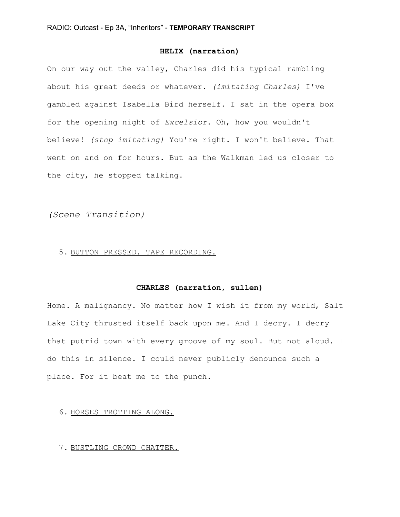# **HELIX (narration)**

On our way out the valley, Charles did his typical rambling about his great deeds or whatever. *(imitating Charles)* I've gambled against Isabella Bird herself. I sat in the opera box for the opening night of *Excelsior*. Oh, how you wouldn't believe! *(stop imitating)* You're right. I won't believe. That went on and on for hours. But as the Walkman led us closer to the city, he stopped talking.

*(Scene Transition)*

# 5. BUTTON PRESSED. TAPE RECORDING.

# **CHARLES (narration, sullen)**

Home. A malignancy. No matter how I wish it from my world, Salt Lake City thrusted itself back upon me. And I decry. I decry that putrid town with every groove of my soul. But not aloud. I do this in silence. I could never publicly denounce such a place. For it beat me to the punch.

#### 6. HORSES TROTTING ALONG.

## 7. BUSTLING CROWD CHATTER.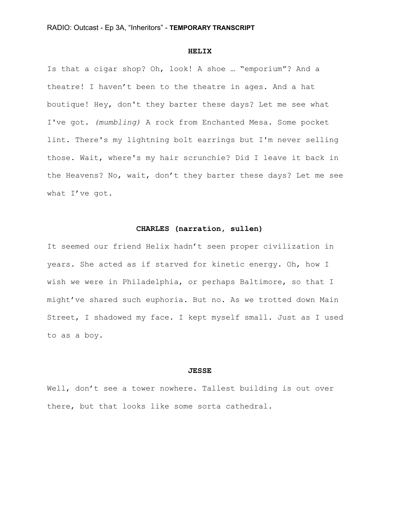#### **HELIX**

Is that a cigar shop? Oh, look! A shoe … "emporium"? And a theatre! I haven't been to the theatre in ages. And a hat boutique! Hey, don't they barter these days? Let me see what I've got. *(mumbling)* A rock from Enchanted Mesa. Some pocket lint. There's my lightning bolt earrings but I'm never selling those. Wait, where's my hair scrunchie? Did I leave it back in the Heavens? No, wait, don't they barter these days? Let me see what I've got.

# **CHARLES (narration, sullen)**

It seemed our friend Helix hadn't seen proper civilization in years. She acted as if starved for kinetic energy. Oh, how I wish we were in Philadelphia, or perhaps Baltimore, so that I might've shared such euphoria. But no. As we trotted down Main Street, I shadowed my face. I kept myself small. Just as I used to as a boy.

#### **JESSE**

Well, don't see a tower nowhere. Tallest building is out over there, but that looks like some sorta cathedral.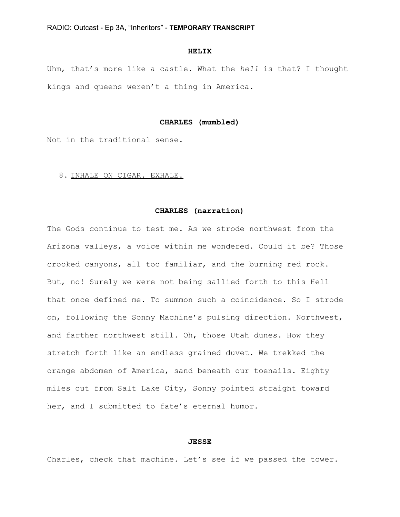#### **HELIX**

Uhm, that's more like a castle. What the *hell* is that? I thought kings and queens weren't a thing in America.

#### **CHARLES (mumbled)**

Not in the traditional sense.

#### 8. INHALE ON CIGAR. EXHALE.

#### **CHARLES (narration)**

The Gods continue to test me. As we strode northwest from the Arizona valleys, a voice within me wondered. Could it be? Those crooked canyons, all too familiar, and the burning red rock. But, no! Surely we were not being sallied forth to this Hell that once defined me. To summon such a coincidence. So I strode on, following the Sonny Machine's pulsing direction. Northwest, and farther northwest still. Oh, those Utah dunes. How they stretch forth like an endless grained duvet. We trekked the orange abdomen of America, sand beneath our toenails. Eighty miles out from Salt Lake City, Sonny pointed straight toward her, and I submitted to fate's eternal humor.

#### **JESSE**

Charles, check that machine. Let's see if we passed the tower.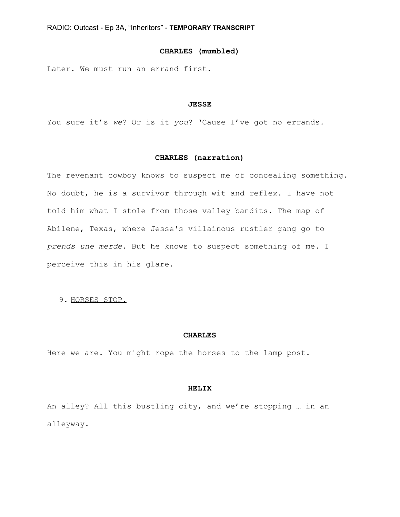# **CHARLES (mumbled)**

Later. We must run an errand first.

#### **JESSE**

You sure it's *we*? Or is it *you*? 'Cause I've got no errands.

# **CHARLES (narration)**

The revenant cowboy knows to suspect me of concealing something. No doubt, he is a survivor through wit and reflex. I have not told him what I stole from those valley bandits. The map of Abilene, Texas, where Jesse's villainous rustler gang go to *prends une merde*. But he knows to suspect something of me. I perceive this in his glare.

## 9. HORSES STOP.

#### **CHARLES**

Here we are. You might rope the horses to the lamp post.

#### **HELIX**

An alley? All this bustling city, and we're stopping … in an alleyway.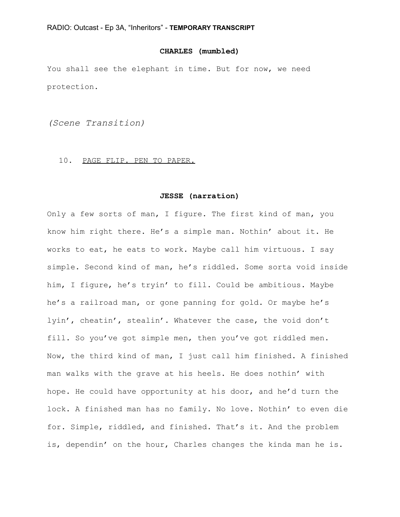# **CHARLES (mumbled)**

You shall see the elephant in time. But for now, we need protection.

*(Scene Transition)*

#### 10. PAGE FLIP. PEN TO PAPER.

#### **JESSE (narration)**

Only a few sorts of man, I figure. The first kind of man, you know him right there. He's a simple man. Nothin' about it. He works to eat, he eats to work. Maybe call him virtuous. I say simple. Second kind of man, he's riddled. Some sorta void inside him, I figure, he's tryin' to fill. Could be ambitious. Maybe he's a railroad man, or gone panning for gold. Or maybe he's lyin', cheatin', stealin'. Whatever the case, the void don't fill. So you've got simple men, then you've got riddled men. Now, the third kind of man, I just call him finished. A finished man walks with the grave at his heels. He does nothin' with hope. He could have opportunity at his door, and he'd turn the lock. A finished man has no family. No love. Nothin' to even die for. Simple, riddled, and finished. That's it. And the problem is, dependin' on the hour, Charles changes the kinda man he is.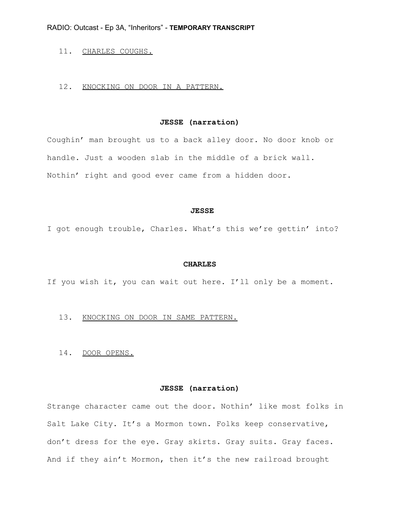# 11. CHARLES COUGHS.

## 12. KNOCKING ON DOOR IN A PATTERN.

# **JESSE (narration)**

Coughin' man brought us to a back alley door. No door knob or handle. Just a wooden slab in the middle of a brick wall. Nothin' right and good ever came from a hidden door.

#### **JESSE**

I got enough trouble, Charles. What's this we're gettin' into?

#### **CHARLES**

If you wish it, you can wait out here. I'll only be a moment.

#### 13. KNOCKING ON DOOR IN SAME PATTERN.

14. DOOR OPENS.

# **JESSE (narration)**

Strange character came out the door. Nothin' like most folks in Salt Lake City. It's a Mormon town. Folks keep conservative, don't dress for the eye. Gray skirts. Gray suits. Gray faces. And if they ain't Mormon, then it's the new railroad brought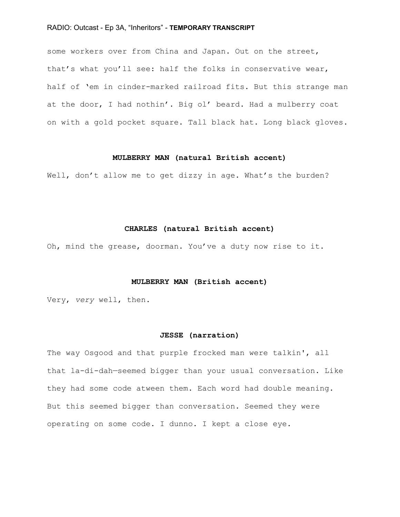some workers over from China and Japan. Out on the street, that's what you'll see: half the folks in conservative wear, half of 'em in cinder-marked railroad fits. But this strange man at the door, I had nothin'. Big ol' beard. Had a mulberry coat on with a gold pocket square. Tall black hat. Long black gloves.

## **MULBERRY MAN (natural British accent)**

Well, don't allow me to get dizzy in age. What's the burden?

# **CHARLES (natural British accent)**

Oh, mind the grease, doorman. You've a duty now rise to it.

#### **MULBERRY MAN (British accent)**

Very, *very* well, then.

#### **JESSE (narration)**

The way Osgood and that purple frocked man were talkin', all that la-di-dah—seemed bigger than your usual conversation. Like they had some code atween them. Each word had double meaning. But this seemed bigger than conversation. Seemed they were operating on some code. I dunno. I kept a close eye.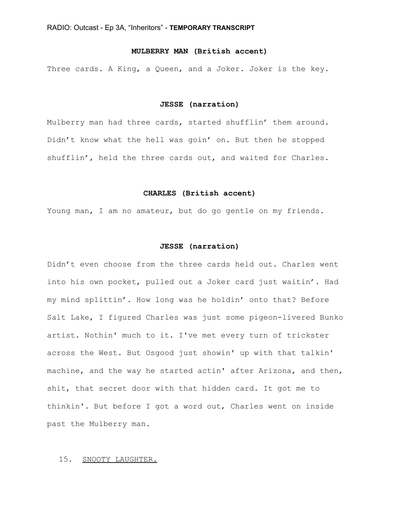# **MULBERRY MAN (British accent)**

Three cards. A King, a Queen, and a Joker. Joker is the key.

#### **JESSE (narration)**

Mulberry man had three cards, started shufflin' them around. Didn't know what the hell was goin' on. But then he stopped shufflin', held the three cards out, and waited for Charles.

#### **CHARLES (British accent)**

Young man, I am no amateur, but do go gentle on my friends.

#### **JESSE (narration)**

Didn't even choose from the three cards held out. Charles went into his own pocket, pulled out a Joker card just waitin'. Had my mind splittin'. How long was he holdin' onto that? Before Salt Lake, I figured Charles was just some pigeon-livered Bunko artist. Nothin' much to it. I've met every turn of trickster across the West. But Osgood just showin' up with that talkin' machine, and the way he started actin' after Arizona, and then, shit, that secret door with that hidden card. It got me to thinkin'. But before I got a word out, Charles went on inside past the Mulberry man.

# 15. SNOOTY LAUGHTER.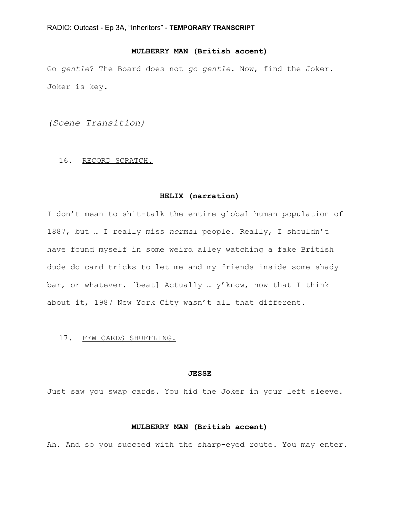# **MULBERRY MAN (British accent)**

Go *gentle*? The Board does not *go gentle*. Now, find the Joker. Joker is key.

*(Scene Transition)*

#### 16. RECORD SCRATCH.

#### **HELIX (narration)**

I don't mean to shit-talk the entire global human population of 1887, but … I really miss *normal* people. Really, I shouldn't have found myself in some weird alley watching a fake British dude do card tricks to let me and my friends inside some shady bar, or whatever. [beat] Actually … y'know, now that I think about it, 1987 New York City wasn't all that different.

#### 17. FEW CARDS SHUFFLING.

#### **JESSE**

Just saw you swap cards. You hid the Joker in your left sleeve.

# **MULBERRY MAN (British accent)**

Ah. And so you succeed with the sharp-eyed route. You may enter.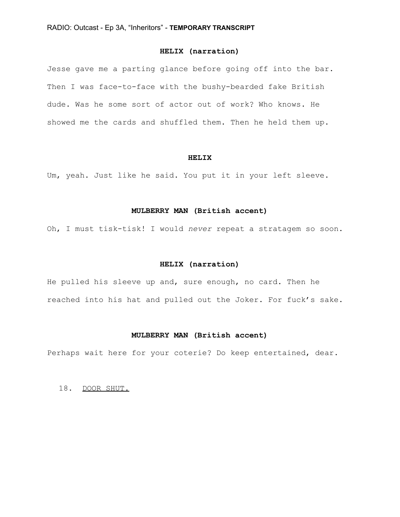# **HELIX (narration)**

Jesse gave me a parting glance before going off into the bar. Then I was face-to-face with the bushy-bearded fake British dude. Was he some sort of actor out of work? Who knows. He showed me the cards and shuffled them. Then he held them up.

#### **HELIX**

Um, yeah. Just like he said. You put it in your left sleeve.

# **MULBERRY MAN (British accent)**

Oh, I must tisk-tisk! I would *never* repeat a stratagem so soon.

#### **HELIX (narration)**

He pulled his sleeve up and, sure enough, no card. Then he reached into his hat and pulled out the Joker. For fuck's sake.

#### **MULBERRY MAN (British accent)**

Perhaps wait here for your coterie? Do keep entertained, dear.

# 18. DOOR SHUT.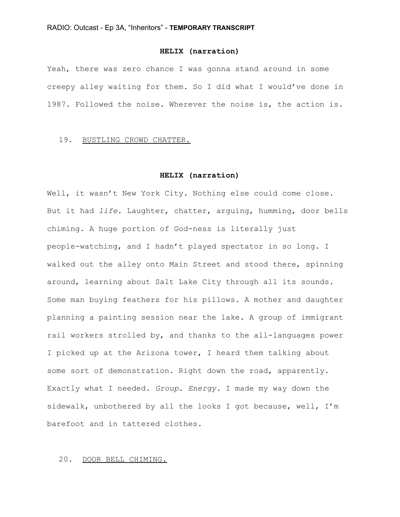# **HELIX (narration)**

Yeah, there was zero chance I was gonna stand around in some creepy alley waiting for them. So I did what I would've done in 1987. Followed the noise. Wherever the noise is, the action is.

# 19. BUSTLING CROWD CHATTER.

#### **HELIX (narration)**

Well, it wasn't New York City. Nothing else could come close. But it had *life*. Laughter, chatter, arguing, humming, door bells chiming. A huge portion of God-ness is literally just people-watching, and I hadn't played spectator in so long. I walked out the alley onto Main Street and stood there, spinning around, learning about Salt Lake City through all its sounds. Some man buying feathers for his pillows. A mother and daughter planning a painting session near the lake. A group of immigrant rail workers strolled by, and thanks to the all-languages power I picked up at the Arizona tower, I heard them talking about some sort of demonstration. Right down the road, apparently. Exactly what I needed. *Group. Energy.* I made my way down the sidewalk, unbothered by all the looks I got because, well, I'm barefoot and in tattered clothes.

# 20. DOOR BELL CHIMING.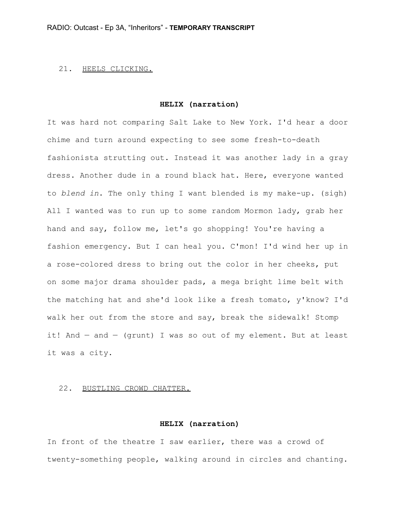#### 21. HEELS CLICKING.

#### **HELIX (narration)**

It was hard not comparing Salt Lake to New York. I'd hear a door chime and turn around expecting to see some fresh-to-death fashionista strutting out. Instead it was another lady in a gray dress. Another dude in a round black hat. Here, everyone wanted to *blend in*. The only thing I want blended is my make-up. (sigh) All I wanted was to run up to some random Mormon lady, grab her hand and say, follow me, let's go shopping! You're having a fashion emergency. But I can heal you. C'mon! I'd wind her up in a rose-colored dress to bring out the color in her cheeks, put on some major drama shoulder pads, a mega bright lime belt with the matching hat and she'd look like a fresh tomato, y'know? I'd walk her out from the store and say, break the sidewalk! Stomp it! And — and — (grunt) I was so out of my element. But at least it was a city.

# 22. BUSTLING CROWD CHATTER.

#### **HELIX (narration)**

In front of the theatre I saw earlier, there was a crowd of twenty-something people, walking around in circles and chanting.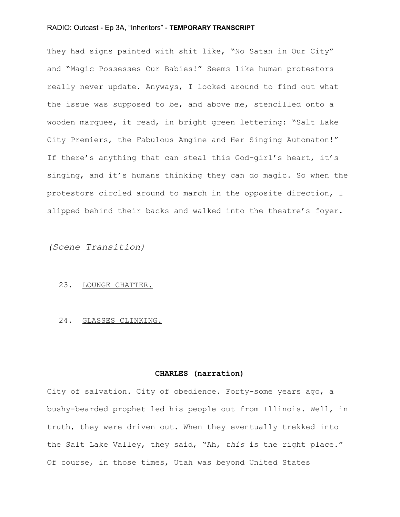They had signs painted with shit like, "No Satan in Our City" and "Magic Possesses Our Babies!" Seems like human protestors really never update. Anyways, I looked around to find out what the issue was supposed to be, and above me, stencilled onto a wooden marquee, it read, in bright green lettering: "Salt Lake City Premiers, the Fabulous Amgine and Her Singing Automaton!" If there's anything that can steal this God-girl's heart, it's singing, and it's humans thinking they can do magic. So when the protestors circled around to march in the opposite direction, I slipped behind their backs and walked into the theatre's foyer.

*(Scene Transition)*

#### 23. LOUNGE CHATTER.

# 24. GLASSES CLINKING.

# **CHARLES (narration)**

City of salvation. City of obedience. Forty-some years ago, a bushy-bearded prophet led his people out from Illinois. Well, in truth, they were driven out. When they eventually trekked into the Salt Lake Valley, they said, "Ah, *this* is the right place." Of course, in those times, Utah was beyond United States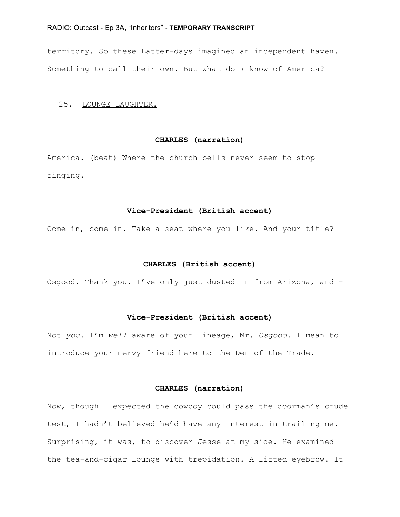territory. So these Latter-days imagined an independent haven. Something to call their own. But what do *I* know of America?

#### 25. LOUNGE LAUGHTER.

## **CHARLES (narration)**

America. (beat) Where the church bells never seem to stop ringing.

# **Vice-President (British accent)**

Come in, come in. Take a seat where you like. And your title?

#### **CHARLES (British accent)**

Osgood. Thank you. I've only just dusted in from Arizona, and -

#### **Vice-President (British accent)**

Not *you*. I'm *well* aware of your lineage, Mr. *Osgood*. I mean to introduce your nervy friend here to the Den of the Trade.

# **CHARLES (narration)**

Now, though I expected the cowboy could pass the doorman's crude test, I hadn't believed he'd have any interest in trailing me. Surprising, it was, to discover Jesse at my side. He examined the tea-and-cigar lounge with trepidation. A lifted eyebrow. It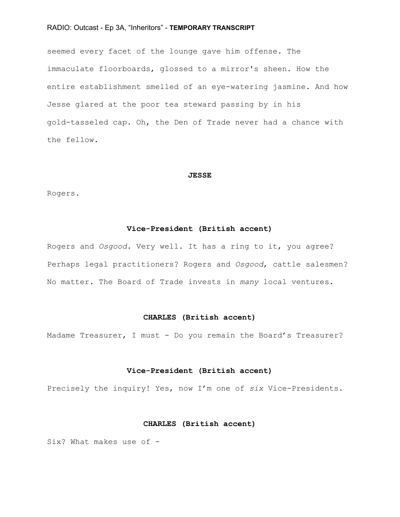seemed every facet of the lounge gave him offense. The immaculate floorboards, glossed to a mirror's sheen. How the entire establishment smelled of an eye-watering jasmine. And how Jesse glared at the poor tea steward passing by in his gold-tasseled cap. Oh, the Den of Trade never had a chance with the fellow.

#### **JESSE**

Rogers.

#### **Vice-President (British accent)**

Rogers and *Osgood*. Very well. It has a ring to it, you agree? Perhaps legal practitioners? Rogers and *Osgood*, cattle salesmen? No matter. The Board of Trade invests in *many* local ventures.

## **CHARLES (British accent)**

Madame Treasurer, I must - Do you remain the Board's Treasurer?

#### **Vice-President (British accent)**

Precisely the inquiry! Yes, now I'm one of *six* Vice-Presidents.

#### **CHARLES (British accent)**

Six? What makes use of -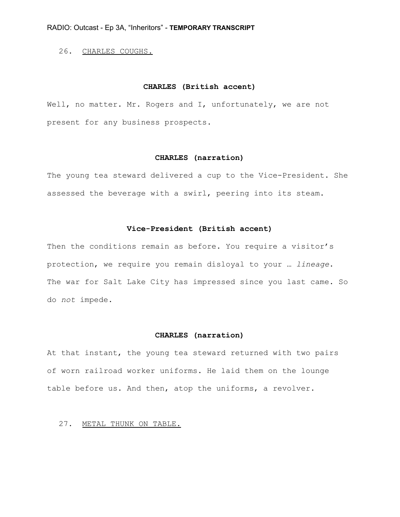# 26. CHARLES COUGHS.

## **CHARLES (British accent)**

Well, no matter. Mr. Rogers and I, unfortunately, we are not present for any business prospects.

# **CHARLES (narration)**

The young tea steward delivered a cup to the Vice-President. She assessed the beverage with a swirl, peering into its steam.

# **Vice-President (British accent)**

Then the conditions remain as before. You require a visitor's protection, we require you remain disloyal to your … *lineage*. The war for Salt Lake City has impressed since you last came. So do *not* impede.

## **CHARLES (narration)**

At that instant, the young tea steward returned with two pairs of worn railroad worker uniforms. He laid them on the lounge table before us. And then, atop the uniforms, a revolver.

#### 27. METAL THUNK ON TABLE.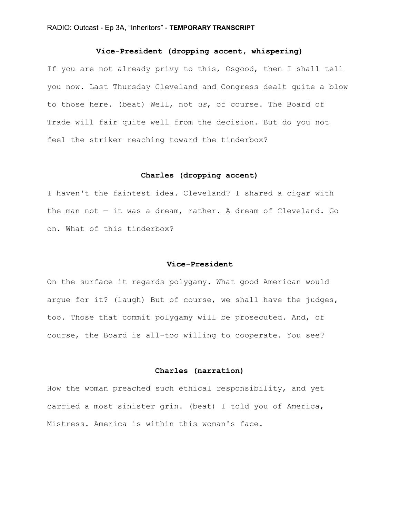# **Vice-President (dropping accent, whispering)**

If you are not already privy to this, Osgood, then I shall tell you now. Last Thursday Cleveland and Congress dealt quite a blow to those here. (beat) Well, not *us*, of course. The Board of Trade will fair quite well from the decision. But do you not feel the striker reaching toward the tinderbox?

#### **Charles (dropping accent)**

I haven't the faintest idea. Cleveland? I shared a cigar with the man not — it was a dream, rather. A dream of Cleveland. Go on. What of this tinderbox?

#### **Vice-President**

On the surface it regards polygamy. What good American would argue for it? (laugh) But of course, we shall have the judges, too. Those that commit polygamy will be prosecuted. And, of course, the Board is all-too willing to cooperate. You see?

# **Charles (narration)**

How the woman preached such ethical responsibility, and yet carried a most sinister grin. (beat) I told you of America, Mistress. America is within this woman's face.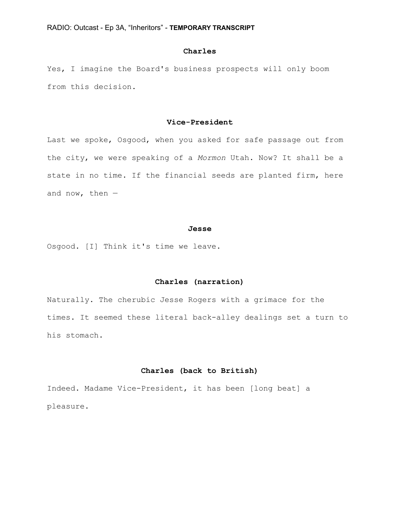# **Charles**

Yes, I imagine the Board's business prospects will only boom from this decision.

# **Vice-President**

Last we spoke, Osgood, when you asked for safe passage out from the city, we were speaking of a *Mormon* Utah. Now? It shall be a state in no time. If the financial seeds are planted firm, here and now, then —

#### **Jesse**

Osgood. [I] Think it's time we leave.

# **Charles (narration)**

Naturally. The cherubic Jesse Rogers with a grimace for the times. It seemed these literal back-alley dealings set a turn to his stomach.

# **Charles (back to British)**

Indeed. Madame Vice-President, it has been [long beat] a pleasure.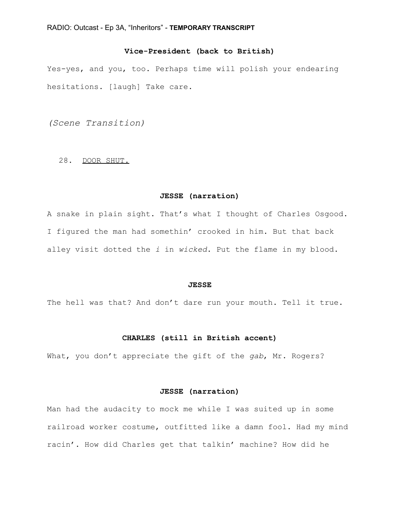# **Vice-President (back to British)**

Yes-yes, and you, too. Perhaps time will polish your endearing hesitations. [laugh] Take care.

*(Scene Transition)*

#### 28. DOOR SHUT.

#### **JESSE (narration)**

A snake in plain sight. That's what I thought of Charles Osgood. I figured the man had somethin' crooked in him. But that back alley visit dotted the *i* in *wicked*. Put the flame in my blood.

#### **JESSE**

The hell was that? And don't dare run your mouth. Tell it true.

# **CHARLES (still in British accent)**

What, you don't appreciate the gift of the *gab*, Mr. Rogers?

## **JESSE (narration)**

Man had the audacity to mock me while I was suited up in some railroad worker costume, outfitted like a damn fool. Had my mind racin'. How did Charles get that talkin' machine? How did he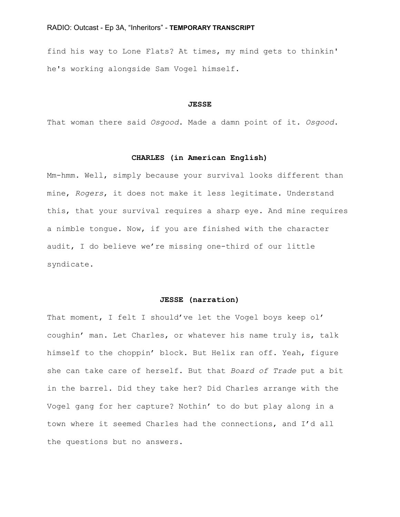find his way to Lone Flats? At times, my mind gets to thinkin' he's working alongside Sam Vogel himself.

#### **JESSE**

That woman there said *Osgood*. Made a damn point of it. *Osgood*.

## **CHARLES (in American English)**

Mm-hmm. Well, simply because your survival looks different than mine, *Rogers*, it does not make it less legitimate. Understand this, that your survival requires a sharp eye. And mine requires a nimble tongue. Now, if you are finished with the character audit, I do believe we're missing one-third of our little syndicate.

#### **JESSE (narration)**

That moment, I felt I should've let the Vogel boys keep ol' coughin' man. Let Charles, or whatever his name truly is, talk himself to the choppin' block. But Helix ran off. Yeah, figure she can take care of herself. But that *Board of Trade* put a bit in the barrel. Did they take her? Did Charles arrange with the Vogel gang for her capture? Nothin' to do but play along in a town where it seemed Charles had the connections, and I'd all the questions but no answers.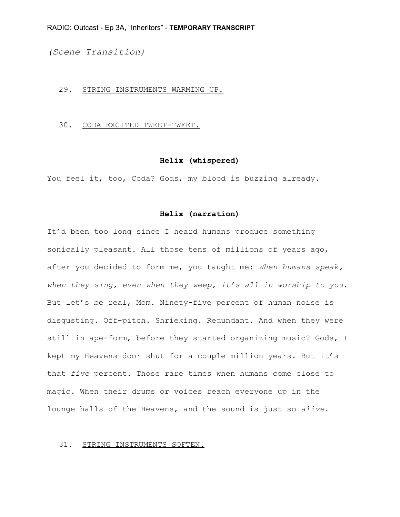*(Scene Transition)*

#### 29. STRING INSTRUMENTS WARMING UP.

30. CODA EXCITED TWEET-TWEET.

#### **Helix (whispered)**

You feel it, too, Coda? Gods, my blood is buzzing already.

#### **Helix (narration)**

It'd been too long since I heard humans produce something sonically pleasant. All those tens of millions of years ago, after you decided to form me, you taught me: *When humans speak, when they sing, even when they weep, it's all in worship to you.* But let's be real, Mom. Ninety-five percent of human noise is disgusting. Off-pitch. Shrieking. Redundant. And when they were still in ape-form, before they started organizing music? Gods, I kept my Heavens-door shut for a couple million years. But it's that *five* percent. Those rare times when humans come close to magic. When their drums or voices reach everyone up in the lounge halls of the Heavens, and the sound is just so *alive*.

#### 31. STRING INSTRUMENTS SOFTEN.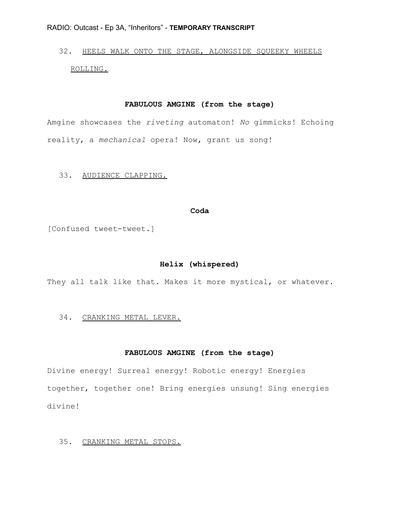# 32. HEELS WALK ONTO THE STAGE, ALONGSIDE SQUEEKY WHEELS ROLLING.

# **FABULOUS AMGINE (from the stage)**

Amgine showcases the *riveting* automaton! *No* gimmicks! Echoing reality, a *mechanical* opera! Now, grant us song!

# 33. AUDIENCE CLAPPING.

#### **Coda**

[Confused tweet-tweet.]

# **Helix (whispered)**

They all talk like that. Makes it more mystical, or whatever.

#### 34. CRANKING METAL LEVER.

#### **FABULOUS AMGINE (from the stage)**

Divine energy! Surreal energy! Robotic energy! Energies together, together one! Bring energies unsung! Sing energies divine!

# 35. CRANKING METAL STOPS.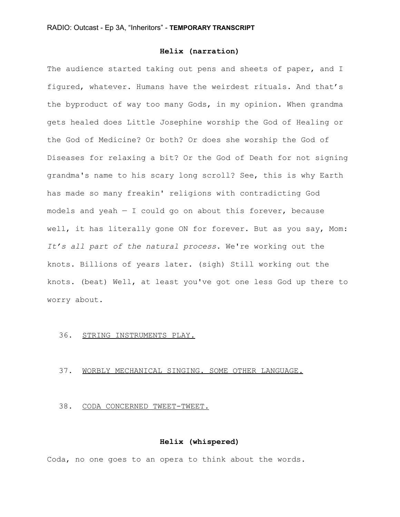# **Helix (narration)**

The audience started taking out pens and sheets of paper, and I figured, whatever. Humans have the weirdest rituals. And that's the byproduct of way too many Gods, in my opinion. When grandma gets healed does Little Josephine worship the God of Healing or the God of Medicine? Or both? Or does she worship the God of Diseases for relaxing a bit? Or the God of Death for not signing grandma's name to his scary long scroll? See, this is why Earth has made so many freakin' religions with contradicting God models and yeah  $-$  I could go on about this forever, because well, it has literally gone ON for forever. But as you say, Mom: *It's all part of the natural process*. We're working out the knots. Billions of years later. (sigh) Still working out the knots. (beat) Well, at least you've got one less God up there to worry about.

#### 36. STRING INSTRUMENTS PLAY.

# 37. WORBLY MECHANICAL SINGING. SOME OTHER LANGUAGE.

# 38. CODA CONCERNED TWEET-TWEET.

# **Helix (whispered)**

Coda, no one goes to an opera to think about the words.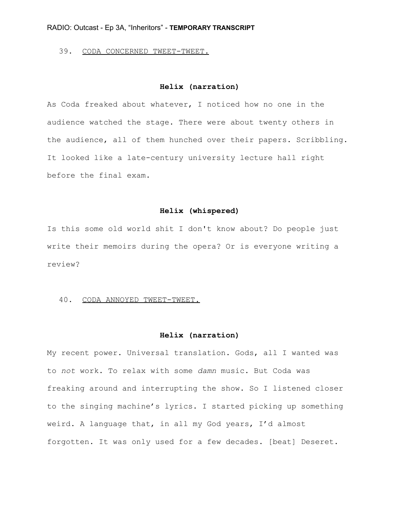# 39. CODA CONCERNED TWEET-TWEET.

# **Helix (narration)**

As Coda freaked about whatever, I noticed how no one in the audience watched the stage. There were about twenty others in the audience, all of them hunched over their papers. Scribbling. It looked like a late-century university lecture hall right before the final exam.

#### **Helix (whispered)**

Is this some old world shit I don't know about? Do people just write their memoirs during the opera? Or is everyone writing a review?

#### 40. CODA ANNOYED TWEET-TWEET.

#### **Helix (narration)**

My recent power. Universal translation. Gods, all I wanted was to *not* work. To relax with some *damn* music. But Coda was freaking around and interrupting the show. So I listened closer to the singing machine's lyrics. I started picking up something weird. A language that, in all my God years, I'd almost forgotten. It was only used for a few decades. [beat] Deseret.